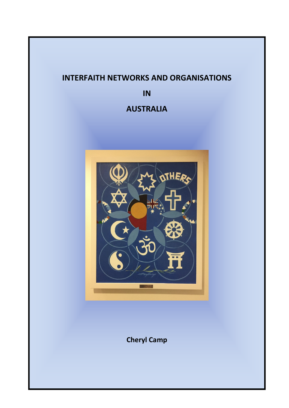# **INTERFAITH NETWORKS AND ORGANISATIONS**

**IN** 

# **AUSTRALIA**



**Cheryl Camp**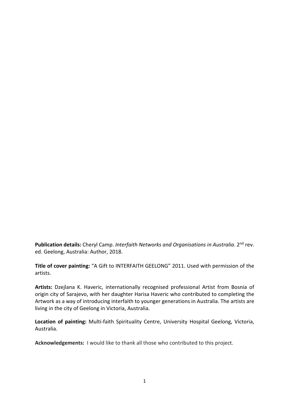**Publication details:** Cheryl Camp. *Interfaith Networks and Organisations in Australia*. 2nd rev. ed. Geelong, Australia: Author, 2018.

**Title of cover painting:** "A Gift to INTERFAITH GEELONG" 2011. Used with permission of the artists.

**Artists:** Dzejlana K. Haveric, internationally recognised professional Artist from Bosnia of origin city of Sarajevo, with her daughter Harisa Haveric who contributed to completing the Artwork as a way of introducing interfaith to younger generations in Australia. The artists are living in the city of Geelong in Victoria, Australia.

**Location of painting:** Multi-faith Spirituality Centre, University Hospital Geelong, Victoria, Australia.

**Acknowledgements:** I would like to thank all those who contributed to this project.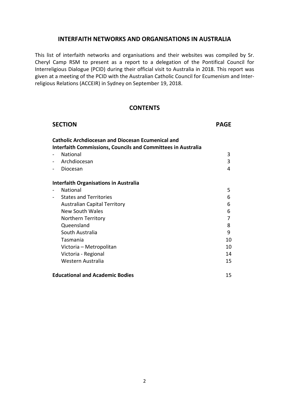#### **INTERFAITH NETWORKS AND ORGANISATIONS IN AUSTRALIA**

This list of interfaith networks and organisations and their websites was compiled by Sr. Cheryl Camp RSM to present as a report to a delegation of the Pontifical Council for Interreligious Dialogue (PCID) during their official visit to Australia in 2018. This report was given at a meeting of the PCID with the Australian Catholic Council for Ecumenism and Interreligious Relations (ACCEIR) in Sydney on September 19, 2018.

#### **CONTENTS**

| <b>SECTION</b>                                                      | <b>PAGE</b> |
|---------------------------------------------------------------------|-------------|
| <b>Catholic Archdiocesan and Diocesan Ecumenical and</b>            |             |
| <b>Interfaith Commissions, Councils and Committees in Australia</b> |             |
| <b>National</b>                                                     | 3           |
| Archdiocesan                                                        | 3           |
| Diocesan<br>$\sim$                                                  | 4           |
| <b>Interfaith Organisations in Australia</b>                        |             |
| National                                                            | 5           |
| <b>States and Territories</b><br>$\sim$                             | 6           |
| <b>Australian Capital Territory</b>                                 | 6           |
| New South Wales                                                     | 6           |
| Northern Territory                                                  | 7           |
| Queensland                                                          | 8           |
| South Australia                                                     | 9           |
| Tasmania                                                            | 10          |
| Victoria - Metropolitan                                             | 10          |
| Victoria - Regional                                                 | 14          |
| Western Australia                                                   | 15          |
| <b>Educational and Academic Bodies</b>                              | 15          |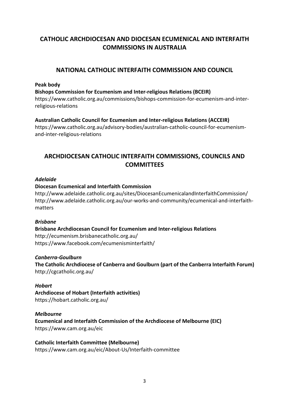# **CATHOLIC ARCHDIOCESAN AND DIOCESAN ECUMENICAL AND INTERFAITH COMMISSIONS IN AUSTRALIA**

# **NATIONAL CATHOLIC INTERFAITH COMMISSION AND COUNCIL**

#### **Peak body**

**Bishops Commission for Ecumenism and Inter-religious Relations (BCEIR)**  https://www.catholic.org.au/commissions/bishops-commission-for-ecumenism-and-interreligious-relations

#### **Australian Catholic Council for Ecumenism and Inter-religious Relations (ACCEIR)**

https://www.catholic.org.au/advisory-bodies/australian-catholic-council-for-ecumenismand-inter-religious-relations

# **ARCHDIOCESAN CATHOLIC INTERFAITH COMMISSIONS, COUNCILS AND COMMITTEES**

#### *Adelaide*

#### **Diocesan Ecumenical and Interfaith Commission**

http://www.adelaide.catholic.org.au/sites/DiocesanEcumenicalandInterfaithCommission/ http://www.adelaide.catholic.org.au/our-works-and-community/ecumenical-and-interfaithmatters

#### *Brisbane*

**Brisbane Archdiocesan Council for Ecumenism and Inter-religious Relations**  http://ecumenism.brisbanecatholic.org.au/ https://www.facebook.com/ecumenisminterfaith/

#### *Canberra-Goulburn*

**The Catholic Archdiocese of Canberra and Goulburn (part of the Canberra Interfaith Forum)**  http://cgcatholic.org.au/

#### *Hobart*

**Archdiocese of Hobart (Interfaith activities)**  https://hobart.catholic.org.au/

#### *Melbourne*

**Ecumenical and Interfaith Commission of the Archdiocese of Melbourne (EIC)**  https://www.cam.org.au/eic

#### **Catholic Interfaith Committee (Melbourne)**

https://www.cam.org.au/eic/About-Us/Interfaith-committee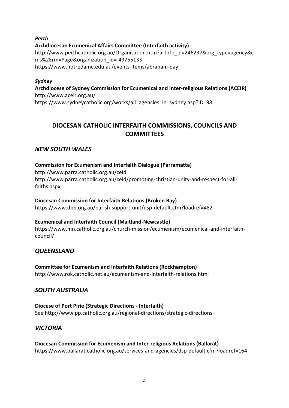### *Perth*  **Archdiocesan Ecumenical Affairs Committee (Interfaith activity)**  http://www.perthcatholic.org.au/Organisation.htm?article\_id=246237&org\_type=agency&c ms%2Erm=Page&organization\_id=-49755133 https://www.notredame.edu.au/events-items/abraham-day

### *Sydney*  **Archdiocese of Sydney Commission for Ecumenical and Inter-religious Relations (ACEIR)**  http://www.aceir.org.au/ https://www.sydneycatholic.org/works/all\_agencies\_in\_sydney.asp?ID=38

# **DIOCESAN CATHOLIC INTERFAITH COMMISSIONS, COUNCILS AND COMMITTEES**

# *NEW SOUTH WALES*

### **Commission for Ecumenism and Interfaith Dialogue (Parramatta)**  http://www.parra.catholic.org.au/ceid http://www.parra.catholic.org.au/ceid/promoting-christian-unity-and-respect-for-allfaiths.aspx

# **Diocesan Commission for Interfaith Relations (Broken Bay)**

https://www.dbb.org.au/parish-support-unit/dsp-default.cfm?loadref=482

# **Ecumenical and Interfaith Council (Maitland-Newcastle)**

https://www.mn.catholic.org.au/church-mission/ecumenism/ecumenical-and-interfaithcouncil/

# *QUEENSLAND*

**Committee for Ecumenism and Interfaith Relations (Rockhampton)**  http://www.rok.catholic.net.au/ecumenism-and-interfaith-relations.html

# *SOUTH AUSTRALIA*

**Diocese of Port Pirie (Strategic Directions - Interfaith)**  See http://www.pp.catholic.org.au/regional-directions/strategic-directions

# *VICTORIA*

# **Diocesan Commission for Ecumenism and Inter-religious Relations (Ballarat)**  https://www.ballarat.catholic.org.au/services-and-agencies/dsp-default.cfm?loadref=164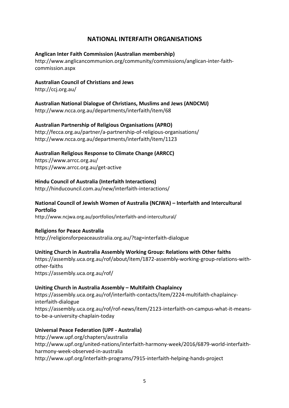# **NATIONAL INTERFAITH ORGANISATIONS**

#### **Anglican Inter Faith Commission (Australian membership)**

http://www.anglicancommunion.org/community/commissions/anglican-inter-faithcommission.aspx

#### **Australian Council of Christians and Jews**

http://ccj.org.au/

**Australian National Dialogue of Christians, Muslims and Jews (ANDCMJ)**  http://www.ncca.org.au/departments/interfaith/item/68

#### **Australian Partnership of Religious Organisations (APRO)**

http://fecca.org.au/partner/a-partnership-of-religious-organisations/ http://www.ncca.org.au/departments/interfaith/item/1123

# **Australian Religious Response to Climate Change (ARRCC)**

https://www.arrcc.org.au/ https://www.arrcc.org.au/get-active

# **Hindu Council of Australia (Interfaith Interactions)**

http://hinducouncil.com.au/new/interfaith-interactions/

#### **National Council of Jewish Women of Australia (NCJWA) – Interfaith and Intercultural Portfolio**

http://www.ncjwa.org.au/portfolios/interfaith-and-intercultural/

#### **Religions for Peace Australia**

http://religionsforpeaceaustralia.org.au/?tag=interfaith-dialogue

#### **Uniting Church in Australia Assembly Working Group: Relations with Other faiths**

https://assembly.uca.org.au/rof/about/item/1872-assembly-working-group-relations-withother-faiths https://assembly.uca.org.au/rof/

#### **Uniting Church in Australia Assembly – Multifaith Chaplaincy**

https://assembly.uca.org.au/rof/interfaith-contacts/item/2224-multifaith-chaplaincyinterfaith-dialogue https://assembly.uca.org.au/rof/rof-news/item/2123-interfaith-on-campus-what-it-meansto-be-a-university-chaplain-today

#### **Universal Peace Federation (UPF - Australia)**

http://www.upf.org/chapters/australia http://www.upf.org/united-nations/interfaith-harmony-week/2016/6879-world-interfaithharmony-week-observed-in-australia http://www.upf.org/interfaith-programs/7915-interfaith-helping-hands-project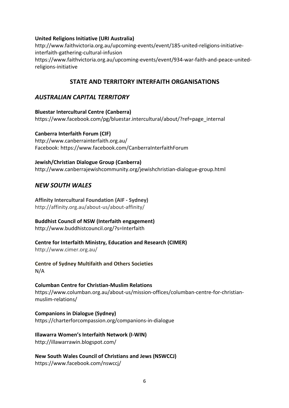#### **United Religions Initiative (URI Australia)**

http://www.faithvictoria.org.au/upcoming-events/event/185-united-religions-initiativeinterfaith-gathering-cultural-infusion https://www.faithvictoria.org.au/upcoming-events/event/934-war-faith-and-peace-unitedreligions-initiative

# **STATE AND TERRITORY INTERFAITH ORGANISATIONS**

# *AUSTRALIAN CAPITAL TERRITORY*

**Bluestar Intercultural Centre (Canberra)**  https://www.facebook.com/pg/bluestar.intercultural/about/?ref=page\_internal

#### **Canberra Interfaith Forum (CIF)**

http://www.canberrainterfaith.org.au/ Facebook: https://www.facebook.com/CanberraInterfaithForum

#### **Jewish/Christian Dialogue Group (Canberra)**

http://www.canberrajewishcommunity.org/jewishchristian-dialogue-group.html

# *NEW SOUTH WALES*

**Affinity Intercultural Foundation (AIF - Sydney)**  http://affinity.org.au/about-us/about-affinity/

#### **Buddhist Council of NSW (Interfaith engagement)**

http://www.buddhistcouncil.org/?s=Interfaith

#### **Centre for Interfaith Ministry, Education and Research (CIMER)**

http://www.cimer.org.au/

#### **Centre of Sydney Multifaith and Others Societies** N/A

#### **Columban Centre for Christian-Muslim Relations**

https://www.columban.org.au/about-us/mission-offices/columban-centre-for-christianmuslim-relations/

#### **Companions in Dialogue (Sydney)**  https://charterforcompassion.org/companions-in-dialogue

# **Illawarra Women's Interfaith Network (I-WIN)**

http://illawarrawin.blogspot.com/

**New South Wales Council of Christians and Jews (NSWCCJ)**  https://www.facebook.com/nswccj/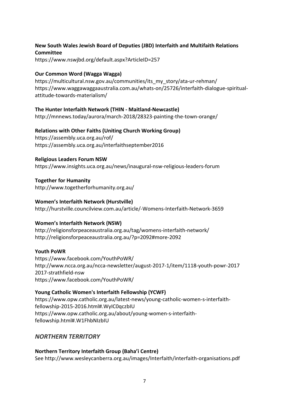#### **New South Wales Jewish Board of Deputies (JBD) Interfaith and Multifaith Relations Committee**

https://www.nswjbd.org/default.aspx?ArticleID=257

#### **Our Common Word (Wagga Wagga)**

https://multicultural.nsw.gov.au/communities/its\_my\_story/ata-ur-rehman/ https://www.waggawaggaaustralia.com.au/whats-on/25726/interfaith-dialogue-spiritualattitude-towards-materialism/

#### **The Hunter Interfaith Network (THIN - Maitland-Newcastle)**

http://mnnews.today/aurora/march-2018/28323-painting-the-town-orange/

### **Relations with Other Faiths (Uniting Church Working Group)**

https://assembly.uca.org.au/rof/ https://assembly.uca.org.au/interfaithseptember2016

### **Religious Leaders Forum NSW**

https://www.insights.uca.org.au/news/inaugural-nsw-religious-leaders-forum

**Together for Humanity**  http://www.togetherforhumanity.org.au/

#### **Women's Interfaith Network (Hurstville)**

http://hurstville.councilview.com.au/article/-Womens-Interfaith-Network-3659

#### **Women's Interfaith Network (NSW)**

http://religionsforpeaceaustralia.org.au/tag/womens-interfaith-network/ http://religionsforpeaceaustralia.org.au/?p=2092#more-2092

#### **Youth PoWR**

https://www.facebook.com/YouthPoWR/ http://www.ncca.org.au/ncca-newsletter/august-2017-1/item/1118-youth-powr-2017 2017-strathfield-nsw https://www.facebook.com/YouthPoWR/

# **Young Catholic Women's Interfaith Fellowship (YCWF)**

https://www.opw.catholic.org.au/latest-news/young-catholic-women-s-interfaithfellowship-2015-2016.html#.WyIC0qczbIU https://www.opw.catholic.org.au/about/young-women-s-interfaithfellowship.html#.W1FhbNIzbIU

# *NORTHERN TERRITORY*

**Northern Territory Interfaith Group (Baha'i Centre)** See http://www.wesleycanberra.org.au/images/Interfaith/interfaith-organisations.pdf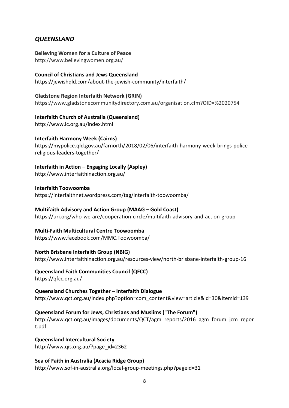# *QUEENSLAND*

**Believing Women for a Culture of Peace** http://www.believingwomen.org.au/

#### **Council of Christians and Jews Queensland**

https://jewishqld.com/about-the-jewish-community/interfaith/

#### **Gladstone Region Interfaith Network (GRIN)**

https://www.gladstonecommunitydirectory.com.au/organisation.cfm?OID=%2020754

#### **Interfaith Church of Australia (Queensland)**

http://www.ic.org.au/index.html

#### **Interfaith Harmony Week (Cairns)**

https://mypolice.qld.gov.au/farnorth/2018/02/06/interfaith-harmony-week-brings-policereligious-leaders-together/

### **Interfaith in Action – Engaging Locally (Aspley)**

http://www.interfaithinaction.org.au/

#### **Interfaith Toowoomba**

https://interfaithnet.wordpress.com/tag/interfaith-toowoomba/

#### **Multifaith Advisory and Action Group (MAAG – Gold Coast)**

https://uri.org/who-we-are/cooperation-circle/multifaith-advisory-and-action-group

### **Multi-Faith Multicultural Centre Toowoomba**

https://www.facebook.com/MMC.Toowoomba/

#### **North Brisbane Interfaith Group (NBIG)**

http://www.interfaithinaction.org.au/resources-view/north-brisbane-interfaith-group-16

# **Queensland Faith Communities Council (QFCC)**

https://qfcc.org.au/

#### **Queensland Churches Together – Interfaith Dialogue**  http://www.qct.org.au/index.php?option=com\_content&view=article&id=30&Itemid=139

#### **Queensland Forum for Jews, Christians and Muslims ("The Forum")**  http://www.qct.org.au/images/documents/QCT/agm\_reports/2016\_agm\_forum\_jcm\_repor t.pdf

**Queensland Intercultural Society**  http://www.qis.org.au/?page\_id=2362

#### **Sea of Faith in Australia (Acacia Ridge Group)**

http://www.sof-in-australia.org/local-group-meetings.php?pageid=31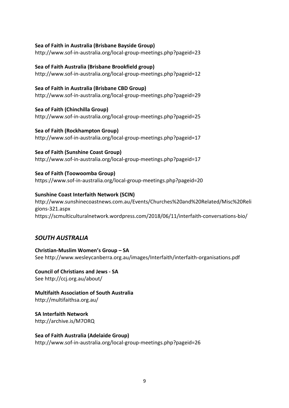#### **Sea of Faith in Australia (Brisbane Bayside Group)**

http://www.sof-in-australia.org/local-group-meetings.php?pageid=23

#### **Sea of Faith Australia (Brisbane Brookfield group)**

http://www.sof-in-australia.org/local-group-meetings.php?pageid=12

#### **Sea of Faith in Australia (Brisbane CBD Group)**

http://www.sof-in-australia.org/local-group-meetings.php?pageid=29

**Sea of Faith (Chinchilla Group)** 

http://www.sof-in-australia.org/local-group-meetings.php?pageid=25

#### **Sea of Faith (Rockhampton Group)**

http://www.sof-in-australia.org/local-group-meetings.php?pageid=17

#### **Sea of Faith (Sunshine Coast Group)**

http://www.sof-in-australia.org/local-group-meetings.php?pageid=17

#### **Sea of Faith (Toowoomba Group)**

https://www.sof-in-australia.org/local-group-meetings.php?pageid=20

#### **Sunshine Coast Interfaith Network (SCIN)**

http://www.sunshinecoastnews.com.au/Events/Churches%20and%20Related/Misc%20Reli gions-321.aspx https://scmulticulturalnetwork.wordpress.com/2018/06/11/interfaith-conversations-bio/

# *SOUTH AUSTRALIA*

**Christian-Muslim Women's Group – SA**  See http://www.wesleycanberra.org.au/images/Interfaith/interfaith-organisations.pdf

**Council of Christians and Jews - SA**  See http://ccj.org.au/about/

**Multifaith Association of South Australia**  http://multifaithsa.org.au/

**SA Interfaith Network**  http://archive.is/M7ORQ

#### **Sea of Faith Australia (Adelaide Group)**  http://www.sof-in-australia.org/local-group-meetings.php?pageid=26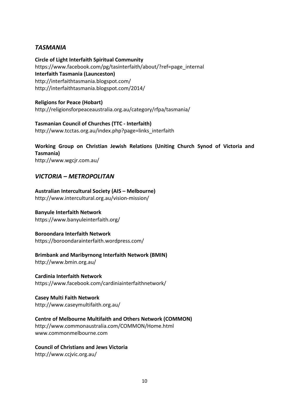# *TASMANIA*

**Circle of Light Interfaith Spiritual Community**  https://www.facebook.com/pg/tasinterfaith/about/?ref=page\_internal **Interfaith Tasmania (Launceston)**  http://interfaithtasmania.blogspot.com/ http://interfaithtasmania.blogspot.com/2014/

**Religions for Peace (Hobart)**  http://religionsforpeaceaustralia.org.au/category/rfpa/tasmania/

**Tasmanian Council of Churches (TTC - Interfaith)**  http://www.tcctas.org.au/index.php?page=links\_interfaith

**Working Group on Christian Jewish Relations (Uniting Church Synod of Victoria and Tasmania)**  http://www.wgcjr.com.au/

# *VICTORIA – METROPOLITAN*

**Australian Intercultural Society (AIS – Melbourne)**  http://www.intercultural.org.au/vision-mission/

**Banyule Interfaith Network**  https://www.banyuleinterfaith.org/

**Boroondara Interfaith Network**  https://boroondarainterfaith.wordpress.com/

**Brimbank and Maribyrnong Interfaith Network (BMIN)**  http://www.bmin.org.au/

**Cardinia Interfaith Network**  https://www.facebook.com/cardiniainterfaithnetwork/

**Casey Multi Faith Network**  http://www.caseymultifaith.org.au/

**Centre of Melbourne Multifaith and Others Network (COMMON)**  http://www.commonaustralia.com/COMMON/Home.html www.commonmelbourne.com

**Council of Christians and Jews Victoria**  http://www.ccjvic.org.au/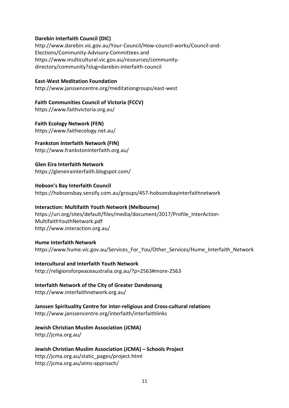#### **Darebin Interfaith Council (DIC)**

http://www.darebin.vic.gov.au/Your-Council/How-council-works/Council-and-Elections/Community-Advisory-Committees and https://www.multicultural.vic.gov.au/resources/communitydirectory/community?slug=darebin-interfaith-council

#### **East-West Meditation Foundation**

http://www.janssencentre.org/meditationgroups/east-west

**Faith Communities Council of Victoria (FCCV)**  https://www.faithvictoria.org.au/

**Faith Ecology Network (FEN)**  https://www.faithecology.net.au/

#### **Frankston Interfaith Network (FIN)**

http://www.frankstoninterfaith.org.au/

**Glen Eira Interfaith Network**  https://gleneirainterfaith.blogspot.com/

**Hobson's Bay Interfaith Council**  https://hobsonsbay.sensify.com.au/groups/457-hobsonsbayinterfaithnetwork

#### **Interaction: Multifaith Youth Network (Melbourne)**

https://uri.org/sites/default/files/media/document/2017/Profile\_InterAction-MultifaithYouthNetwork.pdf http://www.interaction.org.au/

#### **Hume Interfaith Network**

https://www.hume.vic.gov.au/Services\_For\_You/Other\_Services/Hume\_Interfaith\_Network

# **Intercultural and Interfaith Youth Network**

http://religionsforpeaceaustralia.org.au/?p=2563#more-2563

# **Interfaith Network of the City of Greater Dandenong**

http://www.interfaithnetwork.org.au/

# **Janssen Spirituality Centre for inter-religious and Cross-cultural relations**

http://www.janssencentre.org/interfaith/interfaithlinks

#### **Jewish Christian Muslim Association (JCMA)**

http://jcma.org.au/

#### **Jewish Christian Muslim Association (JCMA) – Schools Project**  http://jcma.org.au/static\_pages/project.html http://jcma.org.au/aims-approach/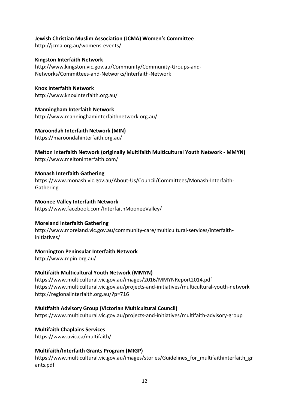### **Jewish Christian Muslim Association (JCMA) Women's Committee**

http://jcma.org.au/womens-events/

**Kingston Interfaith Network**  http://www.kingston.vic.gov.au/Community/Community-Groups-and-Networks/Committees-and-Networks/Interfaith-Network

**Knox Interfaith Network**  http://www.knoxinterfaith.org.au/

**Manningham Interfaith Network**  http://www.manninghaminterfaithnetwork.org.au/

### **Maroondah Interfaith Network (MIN)**

https://maroondahinterfaith.org.au/

**Melton Interfaith Network (originally Multifaith Multicultural Youth Network - MMYN)**  http://www.meltoninterfaith.com/

#### **Monash Interfaith Gathering**

https://www.monash.vic.gov.au/About-Us/Council/Committees/Monash-Interfaith-Gathering

**Moonee Valley Interfaith Network**  https://www.facebook.com/InterfaithMooneeValley/

#### **Moreland Interfaith Gathering**

http://www.moreland.vic.gov.au/community-care/multicultural-services/interfaithinitiatives/

#### **Mornington Peninsular Interfaith Network**

http://www.mpin.org.au/

# **Multifaith Multicultural Youth Network (MMYN)**

https://www.multicultural.vic.gov.au/images/2016/MMYNReport2014.pdf https://www.multicultural.vic.gov.au/projects-and-initiatives/multicultural-youth-network http://regionalinterfaith.org.au/?p=716

# **Multifaith Advisory Group (Victorian Multicultural Council)**

https://www.multicultural.vic.gov.au/projects-and-initiatives/multifaith-advisory-group

**Multifaith Chaplains Services** 

https://www.uvic.ca/multifaith/

# **Multifaith/Interfaith Grants Program (MIGP)**

https://www.multicultural.vic.gov.au/images/stories/Guidelines\_for\_multifaithinterfaith\_gr ants.pdf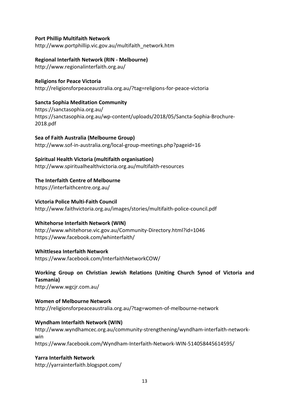#### **Port Phillip Multifaith Network**

http://www.portphillip.vic.gov.au/multifaith\_network.htm

# **Regional Interfaith Network (RIN - Melbourne)**

http://www.regionalinterfaith.org.au/

#### **Religions for Peace Victoria**

http://religionsforpeaceaustralia.org.au/?tag=religions-for-peace-victoria

#### **Sancta Sophia Meditation Community**

https://sanctasophia.org.au/ https://sanctasophia.org.au/wp-content/uploads/2018/05/Sancta-Sophia-Brochure-2018.pdf

**Sea of Faith Australia (Melbourne Group)**  http://www.sof-in-australia.org/local-group-meetings.php?pageid=16

### **Spiritual Health Victoria (multifaith organisation)**

http://www.spiritualhealthvictoria.org.au/multifaith-resources

### **The Interfaith Centre of Melbourne**

https://interfaithcentre.org.au/

**Victoria Police Multi-Faith Council**  http://www.faithvictoria.org.au/images/stories/multifaith-police-council.pdf

#### **Whitehorse Interfaith Network (WIN)**

http://www.whitehorse.vic.gov.au/Community-Directory.html?id=1046 https://www.facebook.com/whinterfaith/

# **Whittlesea Interfaith Network**

https://www.facebook.com/InterfaithNetworkCOW/

# **Working Group on Christian Jewish Relations (Uniting Church Synod of Victoria and Tasmania)**

http://www.wgcjr.com.au/

### **Women of Melbourne Network**  http://religionsforpeaceaustralia.org.au/?tag=women-of-melbourne-network

#### **Wyndham Interfaith Network (WIN)**

http://www.wyndhamcec.org.au/community-strengthening/wyndham-interfaith-networkwin https://www.facebook.com/Wyndham-Interfaith-Network-WIN-514058445614595/

# **Yarra Interfaith Network**

http://yarrainterfaith.blogspot.com/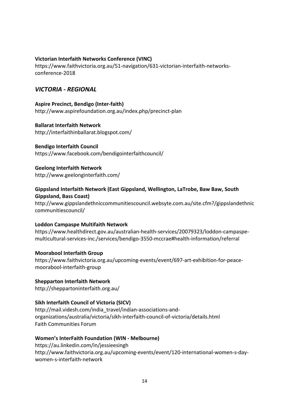#### **Victorian Interfaith Networks Conference (VINC)**

https://www.faithvictoria.org.au/51-navigation/631-victorian-interfaith-networksconference-2018

### *VICTORIA - REGIONAL*

#### **Aspire Precinct, Bendigo (Inter-faith)**

http://www.aspirefoundation.org.au/index.php/precinct-plan

#### **Ballarat Interfaith Network**

http://interfaithinballarat.blogspot.com/

#### **Bendigo Interfaith Council**

https://www.facebook.com/bendigointerfaithcouncil/

#### **Geelong Interfaith Network**

http://www.geelonginterfaith.com/

#### **Gippsland Interfaith Network (East Gippsland, Wellington, LaTrobe, Baw Baw, South Gippsland, Bass Coast)**

http://www.gippslandethniccommunitiescouncil.websyte.com.au/site.cfm?/gippslandethnic communitiescouncil/

#### **Loddon Campaspe Multifaith Network**

https://www.healthdirect.gov.au/australian-health-services/20079323/loddon-campaspemulticultural-services-inc./services/bendigo-3550-mccrae#health-information/referral

#### **Moorabool Interfaith Group**

https://www.faithvictoria.org.au/upcoming-events/event/697-art-exhibition-for-peacemoorabool-interfaith-group

**Shepparton Interfaith Network**  http://sheppartoninterfaith.org.au/

#### **Sikh Interfaith Council of Victoria (SICV)**

http://mail.videsh.com/india\_travel/indian-associations-andorganizations/australia/victoria/sikh-interfaith-council-of-victoria/details.html Faith Communities Forum

#### **Women's InterFaith Foundation (WIN - Melbourne)**

https://au.linkedin.com/in/jessieesingh http://www.faithvictoria.org.au/upcoming-events/event/120-international-women-s-daywomen-s-interfaith-network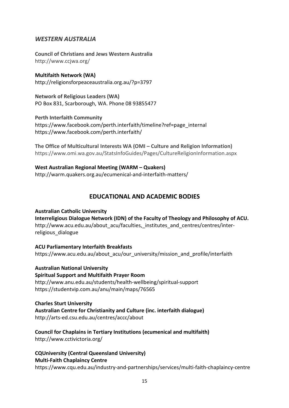# *WESTERN AUSTRALIA*

**Council of Christians and Jews Western Australia**  http://www.ccjwa.org/

**Multifaith Network (WA)**  http://religionsforpeaceaustralia.org.au/?p=3797

**Network of Religious Leaders (WA)**  PO Box 831, Scarborough, WA. Phone 08 93855477

**Perth Interfaith Community**  https://www.facebook.com/perth.interfaith/timeline?ref=page\_internal https://www.facebook.com/perth.interfaith/

**The Office of Multicultural Interests WA (OMI – Culture and Religion Information)**  https://www.omi.wa.gov.au/StatsInfoGuides/Pages/CultureReligionInformation.aspx

**West Australian Regional Meeting (WARM – Quakers)**  http://warm.quakers.org.au/ecumenical-and-interfaith-matters/

# **EDUCATIONAL AND ACADEMIC BODIES**

**Australian Catholic University Interreligious Dialogue Network (IDN) of the Faculty of Theology and Philosophy of ACU.**  http://www.acu.edu.au/about\_acu/faculties,\_institutes\_and\_centres/centres/interreligious\_dialogue

**ACU Parliamentary Interfaith Breakfasts**  https://www.acu.edu.au/about acu/our\_university/mission\_and\_profile/interfaith

**Australian National University Spiritual Support and Multifaith Prayer Room**  http://www.anu.edu.au/students/health-wellbeing/spiritual-support https://studentvip.com.au/anu/main/maps/76565

**Charles Sturt University Australian Centre for Christianity and Culture (inc. interfaith dialogue)**  http://arts-ed.csu.edu.au/centres/accc/about

**Council for Chaplains in Tertiary Institutions (ecumenical and multifaith)**  http://www.cctivictoria.org/

**CQUniversity (Central Queensland University) Multi-Faith Chaplaincy Centre**  https://www.cqu.edu.au/industry-and-partnerships/services/multi-faith-chaplaincy-centre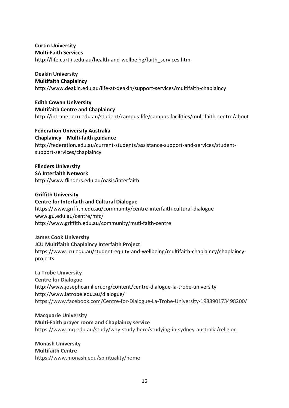#### **Curtin University Multi-Faith Services**

http://life.curtin.edu.au/health-and-wellbeing/faith\_services.htm

# **Deakin University**

**Multifaith Chaplaincy** 

http://www.deakin.edu.au/life-at-deakin/support-services/multifaith-chaplaincy

**Edith Cowan University Multifaith Centre and Chaplaincy**  http://intranet.ecu.edu.au/student/campus-life/campus-facilities/multifaith-centre/about

**Federation University Australia Chaplaincy – Multi-faith guidance**  http://federation.edu.au/current-students/assistance-support-and-services/studentsupport-services/chaplaincy

# **Flinders University**

**SA Interfaith Network**  http://www.flinders.edu.au/oasis/interfaith

**Griffith University Centre for Interfaith and Cultural Dialogue**  https://www.griffith.edu.au/community/centre-interfaith-cultural-dialogue www.gu.edu.au/centre/mfc/ http://www.griffith.edu.au/community/muti-faith-centre

**James Cook University JCU Multifaith Chaplaincy Interfaith Project**  https://www.jcu.edu.au/student-equity-and-wellbeing/multifaith-chaplaincy/chaplaincyprojects

**La Trobe University Centre for Dialogue**  http://www.josephcamilleri.org/content/centre-dialogue-la-trobe-university http://www.latrobe.edu.au/dialogue/ https://www.facebook.com/Centre-for-Dialogue-La-Trobe-University-198890173498200/

**Macquarie University Multi-Faith prayer room and Chaplaincy service**  https://www.mq.edu.au/study/why-study-here/studying-in-sydney-australia/religion

**Monash University Multifaith Centre**  https://www.monash.edu/spirituality/home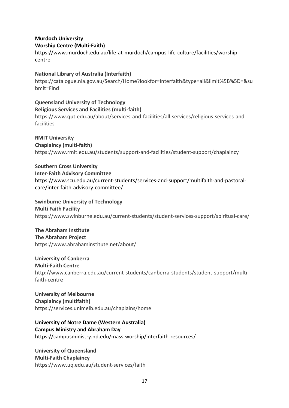# **Murdoch University Worship Centre (Multi-Faith)**

https://www.murdoch.edu.au/life-at-murdoch/campus-life-culture/facilities/worshipcentre

# **National Library of Australia (Interfaith)**

https://catalogue.nla.gov.au/Search/Home?lookfor=Interfaith&type=all&limit%5B%5D=&su bmit=Find

**Queensland University of Technology Religious Services and Facilities (multi-faith)**  https://www.qut.edu.au/about/services-and-facilities/all-services/religious-services-andfacilities

**RMIT University Chaplaincy (multi-faith)**  https://www.rmit.edu.au/students/support-and-facilities/student-support/chaplaincy

**Southern Cross University Inter-Faith Advisory Committee**  https://www.scu.edu.au/current-students/services-and-support/multifaith-and-pastoralcare/inter-faith-advisory-committee/

# **Swinburne University of Technology Multi Faith Facility**

https://www.swinburne.edu.au/current-students/student-services-support/spiritual-care/

# **The Abraham Institute**

**The Abraham Project** 

https://www.abrahaminstitute.net/about/

# **University of Canberra**

**Multi-Faith Centre** 

http://www.canberra.edu.au/current-students/canberra-students/student-support/multifaith-centre

### **University of Melbourne Chaplaincy (multifaith)**  https://services.unimelb.edu.au/chaplains/home

**University of Notre Dame (Western Australia) Campus Ministry and Abraham Day**  https://campusministry.nd.edu/mass-worship/interfaith-resources/

# **University of Queensland Multi-Faith Chaplaincy**  https://www.uq.edu.au/student-services/faith